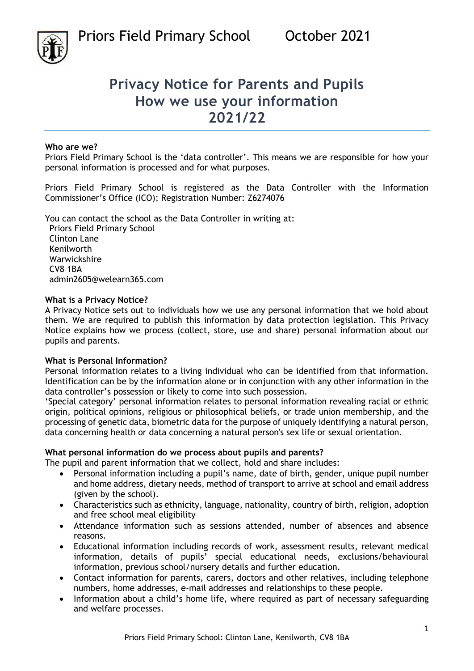

# **Privacy Notice for Parents and Pupils How we use your information 2021/22**

#### **Who are we?**

Priors Field Primary School is the 'data controller'. This means we are responsible for how your personal information is processed and for what purposes.

Priors Field Primary School is registered as the Data Controller with the Information Commissioner's Office (ICO); Registration Number: Z6274076

You can contact the school as the Data Controller in writing at:

Priors Field Primary School Clinton Lane Kenilworth Warwickshire CV8 1BA admin2605@welearn365.com

#### **What is a Privacy Notice?**

A Privacy Notice sets out to individuals how we use any personal information that we hold about them. We are required to publish this information by data protection legislation. This Privacy Notice explains how we process (collect, store, use and share) personal information about our pupils and parents.

#### **What is Personal Information?**

Personal information relates to a living individual who can be identified from that information. Identification can be by the information alone or in conjunction with any other information in the data controller's possession or likely to come into such possession.

'Special category' personal information relates to personal information revealing racial or ethnic origin, political opinions, religious or philosophical beliefs, or trade union membership, and the processing of genetic data, biometric data for the purpose of uniquely identifying a natural person, data concerning health or data concerning a natural person's sex life or sexual orientation.

### **What personal information do we process about pupils and parents?**

The pupil and parent information that we collect, hold and share includes:

- Personal information including a pupil's name, date of birth, gender, unique pupil number and home address, dietary needs, method of transport to arrive at school and email address (given by the school).
- Characteristics such as ethnicity, language, nationality, country of birth, religion, adoption and free school meal eligibility
- Attendance information such as sessions attended, number of absences and absence reasons.
- Educational information including records of work, assessment results, relevant medical information, details of pupils' special educational needs, exclusions/behavioural information, previous school/nursery details and further education.
- Contact information for parents, carers, doctors and other relatives, including telephone numbers, home addresses, e-mail addresses and relationships to these people.
- Information about a child's home life, where required as part of necessary safeguarding and welfare processes.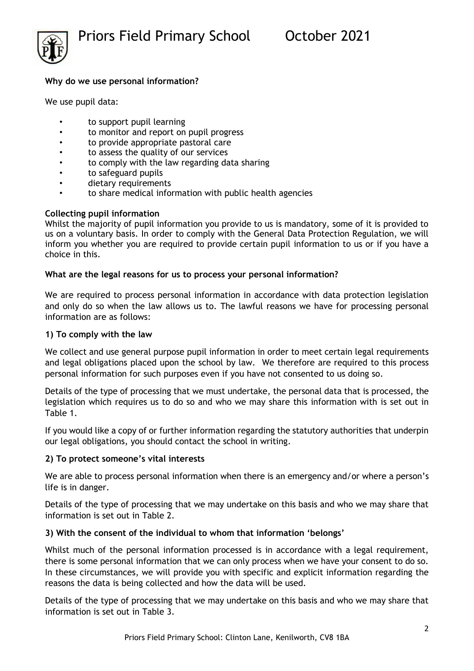

## **Why do we use personal information?**

We use pupil data:

- to support pupil learning
- to monitor and report on pupil progress
- to provide appropriate pastoral care
- to assess the quality of our services
- to comply with the law regarding data sharing
- to safeguard pupils
- dietary requirements
- to share medical information with public health agencies

# **Collecting pupil information**

Whilst the majority of pupil information you provide to us is mandatory, some of it is provided to us on a voluntary basis. In order to comply with the General Data Protection Regulation, we will inform you whether you are required to provide certain pupil information to us or if you have a choice in this.

# **What are the legal reasons for us to process your personal information?**

We are required to process personal information in accordance with data protection legislation and only do so when the law allows us to. The lawful reasons we have for processing personal information are as follows:

### **1) To comply with the law**

We collect and use general purpose pupil information in order to meet certain legal requirements and legal obligations placed upon the school by law. We therefore are required to this process personal information for such purposes even if you have not consented to us doing so.

Details of the type of processing that we must undertake, the personal data that is processed, the legislation which requires us to do so and who we may share this information with is set out in Table 1.

If you would like a copy of or further information regarding the statutory authorities that underpin our legal obligations, you should contact the school in writing.

### **2) To protect someone's vital interests**

We are able to process personal information when there is an emergency and/or where a person's life is in danger.

Details of the type of processing that we may undertake on this basis and who we may share that information is set out in Table 2.

# **3) With the consent of the individual to whom that information 'belongs'**

Whilst much of the personal information processed is in accordance with a legal requirement, there is some personal information that we can only process when we have your consent to do so. In these circumstances, we will provide you with specific and explicit information regarding the reasons the data is being collected and how the data will be used.

Details of the type of processing that we may undertake on this basis and who we may share that information is set out in Table 3.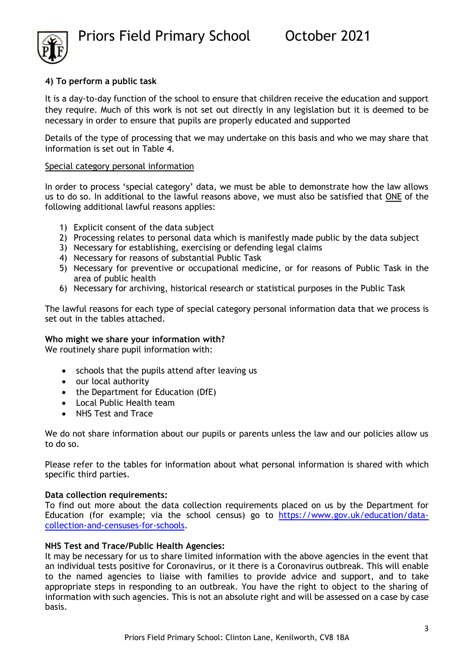

### **4) To perform a public task**

It is a day-to-day function of the school to ensure that children receive the education and support they require. Much of this work is not set out directly in any legislation but it is deemed to be necessary in order to ensure that pupils are properly educated and supported

Details of the type of processing that we may undertake on this basis and who we may share that information is set out in Table 4.

#### Special category personal information

In order to process 'special category' data, we must be able to demonstrate how the law allows us to do so. In additional to the lawful reasons above, we must also be satisfied that ONE of the following additional lawful reasons applies:

- 1) Explicit consent of the data subject
- 2) Processing relates to personal data which is manifestly made public by the data subject
- 3) Necessary for establishing, exercising or defending legal claims
- 4) Necessary for reasons of substantial Public Task
- 5) Necessary for preventive or occupational medicine, or for reasons of Public Task in the area of public health
- 6) Necessary for archiving, historical research or statistical purposes in the Public Task

The lawful reasons for each type of special category personal information data that we process is set out in the tables attached.

#### **Who might we share your information with?**

We routinely share pupil information with:

- schools that the pupils attend after leaving us
- our local authority
- the Department for Education (DfE)
- Local Public Health team
- NHS Test and Trace

We do not share information about our pupils or parents unless the law and our policies allow us to do so.

Please refer to the tables for information about what personal information is shared with which specific third parties.

#### **Data collection requirements:**

To find out more about the data collection requirements placed on us by the Department for Education (for example; via the school census) go to [https://www.gov.uk/education/data](https://www.gov.uk/education/data-collection-and-censuses-for-schools)[collection-and-censuses-for-schools.](https://www.gov.uk/education/data-collection-and-censuses-for-schools)

### **NHS Test and Trace/Public Health Agencies:**

It may be necessary for us to share limited information with the above agencies in the event that an individual tests positive for Coronavirus, or it there is a Coronavirus outbreak. This will enable to the named agencies to liaise with families to provide advice and support, and to take appropriate steps in responding to an outbreak. You have the right to object to the sharing of information with such agencies. This is not an absolute right and will be assessed on a case by case basis.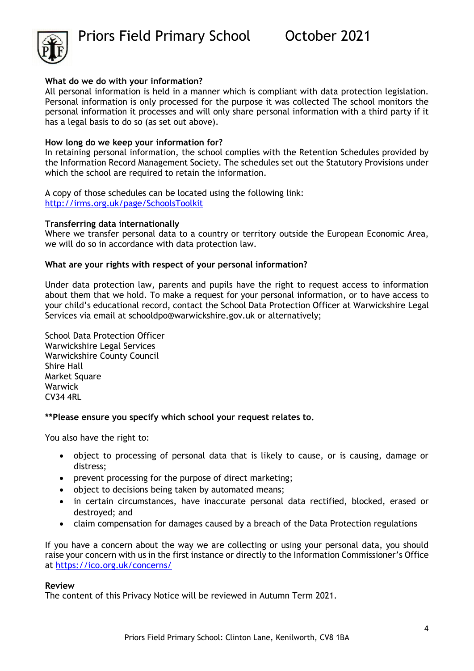

#### **What do we do with your information?**

All personal information is held in a manner which is compliant with data protection legislation. Personal information is only processed for the purpose it was collected The school monitors the personal information it processes and will only share personal information with a third party if it has a legal basis to do so (as set out above).

#### **How long do we keep your information for?**

In retaining personal information, the school complies with the Retention Schedules provided by the Information Record Management Society. The schedules set out the Statutory Provisions under which the school are required to retain the information.

A copy of those schedules can be located using the following link: <http://irms.org.uk/page/SchoolsToolkit>

#### **Transferring data internationally**

Where we transfer personal data to a country or territory outside the European Economic Area, we will do so in accordance with data protection law.

#### **What are your rights with respect of your personal information?**

Under data protection law, parents and pupils have the right to request access to information about them that we hold. To make a request for your personal information, or to have access to your child's educational record, contact the School Data Protection Officer at Warwickshire Legal Services via email at [schooldpo@warwickshire.gov.uk](mailto:schooldpo@warwickshire.gov.uk) or alternatively;

School Data Protection Officer Warwickshire Legal Services Warwickshire County Council Shire Hall Market Square Warwick CV34 4RL

#### **\*\*Please ensure you specify which school your request relates to.**

You also have the right to:

- object to processing of personal data that is likely to cause, or is causing, damage or distress;
- prevent processing for the purpose of direct marketing;
- object to decisions being taken by automated means;
- in certain circumstances, have inaccurate personal data rectified, blocked, erased or destroyed; and
- claim compensation for damages caused by a breach of the Data Protection regulations

If you have a concern about the way we are collecting or using your personal data, you should raise your concern with us in the first instance or directly to the Information Commissioner's Office at<https://ico.org.uk/concerns/>

#### **Review**

The content of this Privacy Notice will be reviewed in Autumn Term 2021.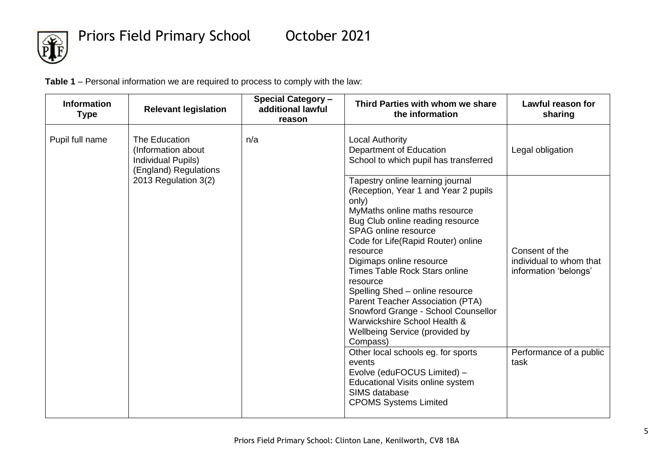

**Table 1** – Personal information we are required to process to comply with the law:

| <b>Information</b><br><b>Type</b> | <b>Relevant legislation</b>                                                        | <b>Special Category -</b><br>additional lawful<br>reason | Third Parties with whom we share<br>the information                                                                                                                                                                                                                                                                                                                                                                                                                                                                                                       | Lawful reason for<br>sharing                                                                  |
|-----------------------------------|------------------------------------------------------------------------------------|----------------------------------------------------------|-----------------------------------------------------------------------------------------------------------------------------------------------------------------------------------------------------------------------------------------------------------------------------------------------------------------------------------------------------------------------------------------------------------------------------------------------------------------------------------------------------------------------------------------------------------|-----------------------------------------------------------------------------------------------|
| Pupil full name                   | The Education<br>(Information about<br>Individual Pupils)<br>(England) Regulations | n/a                                                      | <b>Local Authority</b><br>Department of Education<br>School to which pupil has transferred                                                                                                                                                                                                                                                                                                                                                                                                                                                                | Legal obligation                                                                              |
|                                   | 2013 Regulation 3(2)                                                               |                                                          | Tapestry online learning journal<br>(Reception, Year 1 and Year 2 pupils<br>only)<br>MyMaths online maths resource<br>Bug Club online reading resource<br>SPAG online resource<br>Code for Life(Rapid Router) online<br>resource<br>Digimaps online resource<br><b>Times Table Rock Stars online</b><br>resource<br>Spelling Shed - online resource<br>Parent Teacher Association (PTA)<br>Snowford Grange - School Counsellor<br>Warwickshire School Health &<br><b>Wellbeing Service (provided by</b><br>Compass)<br>Other local schools eg. for sports | Consent of the<br>individual to whom that<br>information 'belongs'<br>Performance of a public |
|                                   |                                                                                    |                                                          | events<br>Evolve (eduFOCUS Limited) -<br>Educational Visits online system<br>SIMS database<br><b>CPOMS Systems Limited</b>                                                                                                                                                                                                                                                                                                                                                                                                                                | task                                                                                          |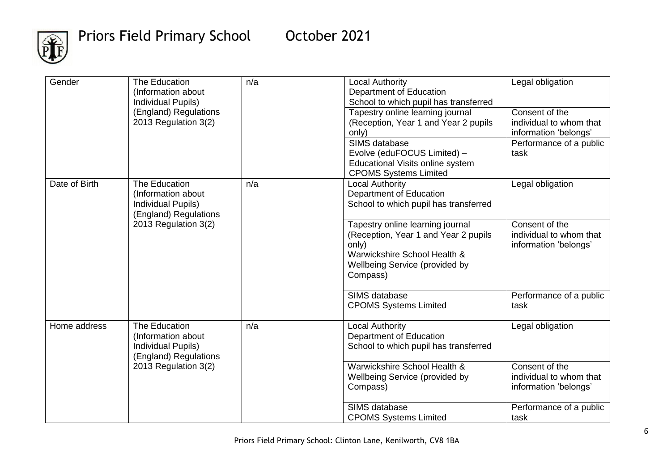

| Gender        | The Education<br>(Information about<br><b>Individual Pupils)</b>                          | n/a | <b>Local Authority</b><br>Department of Education<br>School to which pupil has transferred                                                                      | Legal obligation                                                   |
|---------------|-------------------------------------------------------------------------------------------|-----|-----------------------------------------------------------------------------------------------------------------------------------------------------------------|--------------------------------------------------------------------|
|               | (England) Regulations<br>2013 Regulation 3(2)                                             |     | Tapestry online learning journal<br>(Reception, Year 1 and Year 2 pupils<br>only)                                                                               | Consent of the<br>individual to whom that<br>information 'belongs' |
|               |                                                                                           |     | SIMS database<br>Evolve (eduFOCUS Limited) -<br>Educational Visits online system<br><b>CPOMS Systems Limited</b>                                                | Performance of a public<br>task                                    |
| Date of Birth | The Education<br>(Information about<br><b>Individual Pupils)</b><br>(England) Regulations | n/a | <b>Local Authority</b><br>Department of Education<br>School to which pupil has transferred                                                                      | Legal obligation                                                   |
|               | 2013 Regulation 3(2)                                                                      |     | Tapestry online learning journal<br>(Reception, Year 1 and Year 2 pupils<br>only)<br>Warwickshire School Health &<br>Wellbeing Service (provided by<br>Compass) | Consent of the<br>individual to whom that<br>information 'belongs' |
|               |                                                                                           |     | SIMS database<br><b>CPOMS Systems Limited</b>                                                                                                                   | Performance of a public<br>task                                    |
| Home address  | The Education<br>(Information about<br><b>Individual Pupils)</b><br>(England) Regulations | n/a | <b>Local Authority</b><br>Department of Education<br>School to which pupil has transferred                                                                      | Legal obligation                                                   |
|               | 2013 Regulation 3(2)                                                                      |     | Warwickshire School Health &<br>Wellbeing Service (provided by<br>Compass)                                                                                      | Consent of the<br>individual to whom that<br>information 'belongs' |
|               |                                                                                           |     | SIMS database<br><b>CPOMS Systems Limited</b>                                                                                                                   | Performance of a public<br>task                                    |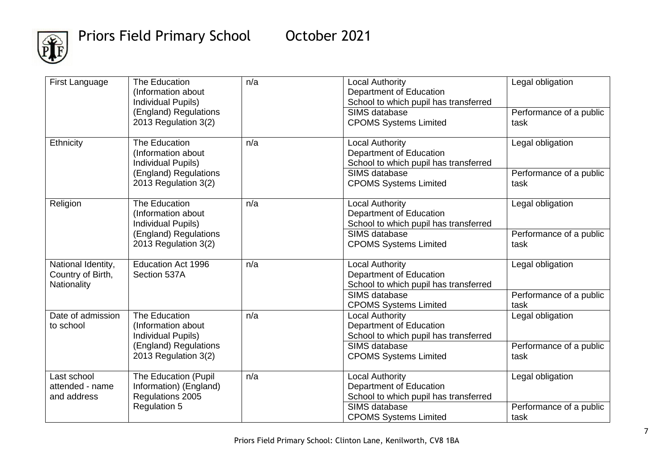

| First Language                                         | The Education<br>(Information about<br><b>Individual Pupils)</b><br>(England) Regulations<br>2013 Regulation 3(2) | n/a | <b>Local Authority</b><br>Department of Education<br>School to which pupil has transferred<br>SIMS database<br><b>CPOMS Systems Limited</b> | Legal obligation<br>Performance of a public<br>task |
|--------------------------------------------------------|-------------------------------------------------------------------------------------------------------------------|-----|---------------------------------------------------------------------------------------------------------------------------------------------|-----------------------------------------------------|
| Ethnicity                                              | The Education<br>(Information about<br><b>Individual Pupils)</b><br>(England) Regulations<br>2013 Regulation 3(2) | n/a | <b>Local Authority</b><br>Department of Education<br>School to which pupil has transferred<br>SIMS database<br><b>CPOMS Systems Limited</b> | Legal obligation<br>Performance of a public<br>task |
| Religion                                               | The Education<br>(Information about<br><b>Individual Pupils)</b><br>(England) Regulations<br>2013 Regulation 3(2) | n/a | <b>Local Authority</b><br>Department of Education<br>School to which pupil has transferred<br>SIMS database<br><b>CPOMS Systems Limited</b> | Legal obligation<br>Performance of a public<br>task |
| National Identity,<br>Country of Birth,<br>Nationality | <b>Education Act 1996</b><br>Section 537A                                                                         | n/a | <b>Local Authority</b><br>Department of Education<br>School to which pupil has transferred                                                  | Legal obligation                                    |
|                                                        |                                                                                                                   |     | SIMS database<br><b>CPOMS Systems Limited</b>                                                                                               | Performance of a public<br>task                     |
| Date of admission<br>to school                         | The Education<br>(Information about<br><b>Individual Pupils)</b>                                                  | n/a | <b>Local Authority</b><br>Department of Education<br>School to which pupil has transferred                                                  | Legal obligation                                    |
|                                                        | (England) Regulations<br>2013 Regulation 3(2)                                                                     |     | SIMS database<br><b>CPOMS Systems Limited</b>                                                                                               | Performance of a public<br>task                     |
| Last school<br>attended - name<br>and address          | The Education (Pupil<br>Information) (England)<br>Regulations 2005                                                | n/a | <b>Local Authority</b><br>Department of Education<br>School to which pupil has transferred                                                  | Legal obligation                                    |
|                                                        | <b>Regulation 5</b>                                                                                               |     | SIMS database<br><b>CPOMS Systems Limited</b>                                                                                               | Performance of a public<br>task                     |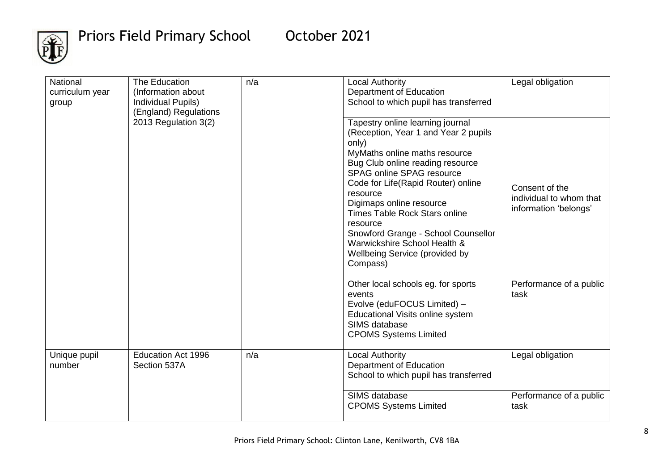

| National<br>curriculum year<br>group | The Education<br>(Information about<br>Individual Pupils)<br>(England) Regulations | n/a | <b>Local Authority</b><br>Department of Education<br>School to which pupil has transferred                                                                                                                                                                                                                                                                                                                                                 | Legal obligation                                                   |
|--------------------------------------|------------------------------------------------------------------------------------|-----|--------------------------------------------------------------------------------------------------------------------------------------------------------------------------------------------------------------------------------------------------------------------------------------------------------------------------------------------------------------------------------------------------------------------------------------------|--------------------------------------------------------------------|
|                                      | 2013 Regulation 3(2)                                                               |     | Tapestry online learning journal<br>(Reception, Year 1 and Year 2 pupils<br>only)<br>MyMaths online maths resource<br>Bug Club online reading resource<br>SPAG online SPAG resource<br>Code for Life(Rapid Router) online<br>resource<br>Digimaps online resource<br><b>Times Table Rock Stars online</b><br>resource<br>Snowford Grange - School Counsellor<br>Warwickshire School Health &<br>Wellbeing Service (provided by<br>Compass) | Consent of the<br>individual to whom that<br>information 'belongs' |
|                                      |                                                                                    |     | Other local schools eg. for sports<br>events<br>Evolve (eduFOCUS Limited) -<br>Educational Visits online system<br>SIMS database<br><b>CPOMS Systems Limited</b>                                                                                                                                                                                                                                                                           | Performance of a public<br>task                                    |
| Unique pupil<br>number               | <b>Education Act 1996</b><br>Section 537A                                          | n/a | <b>Local Authority</b><br>Department of Education<br>School to which pupil has transferred                                                                                                                                                                                                                                                                                                                                                 | Legal obligation                                                   |
|                                      |                                                                                    |     | SIMS database<br><b>CPOMS Systems Limited</b>                                                                                                                                                                                                                                                                                                                                                                                              | Performance of a public<br>task                                    |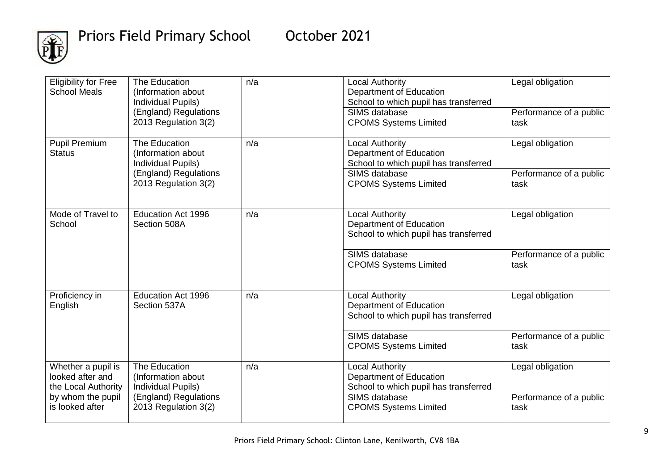

| <b>Eligibility for Free</b><br><b>School Meals</b>            | The Education<br>(Information about<br>Individual Pupils)<br>(England) Regulations<br>2013 Regulation 3(2) | n/a | <b>Local Authority</b><br>Department of Education<br>School to which pupil has transferred<br>SIMS database<br><b>CPOMS Systems Limited</b> | Legal obligation<br>Performance of a public<br>task |
|---------------------------------------------------------------|------------------------------------------------------------------------------------------------------------|-----|---------------------------------------------------------------------------------------------------------------------------------------------|-----------------------------------------------------|
| <b>Pupil Premium</b><br><b>Status</b>                         | The Education<br>(Information about<br>Individual Pupils)                                                  | n/a | <b>Local Authority</b><br>Department of Education<br>School to which pupil has transferred                                                  | Legal obligation                                    |
|                                                               | (England) Regulations<br>2013 Regulation 3(2)                                                              |     | SIMS database<br><b>CPOMS Systems Limited</b>                                                                                               | Performance of a public<br>task                     |
| Mode of Travel to<br>School                                   | <b>Education Act 1996</b><br>Section 508A                                                                  | n/a | <b>Local Authority</b><br>Department of Education<br>School to which pupil has transferred                                                  | Legal obligation                                    |
|                                                               |                                                                                                            |     | SIMS database<br><b>CPOMS Systems Limited</b>                                                                                               | Performance of a public<br>task                     |
| Proficiency in<br>English                                     | <b>Education Act 1996</b><br>Section 537A                                                                  | n/a | <b>Local Authority</b><br>Department of Education<br>School to which pupil has transferred                                                  | Legal obligation                                    |
|                                                               |                                                                                                            |     | SIMS database<br><b>CPOMS Systems Limited</b>                                                                                               | Performance of a public<br>task                     |
| Whether a pupil is<br>looked after and<br>the Local Authority | The Education<br>(Information about<br><b>Individual Pupils)</b>                                           | n/a | <b>Local Authority</b><br>Department of Education<br>School to which pupil has transferred                                                  | Legal obligation                                    |
| by whom the pupil<br>is looked after                          | (England) Regulations<br>2013 Regulation 3(2)                                                              |     | SIMS database<br><b>CPOMS Systems Limited</b>                                                                                               | Performance of a public<br>task                     |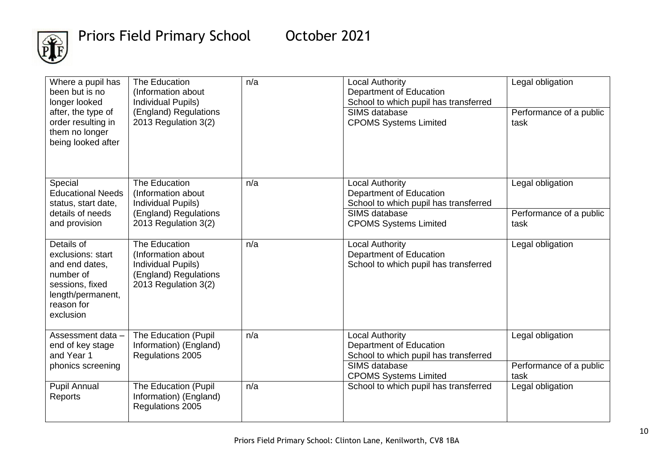

| Where a pupil has<br>been but is no<br>longer looked<br>after, the type of<br>order resulting in<br>them no longer<br>being looked after | The Education<br>(Information about<br>Individual Pupils)<br>(England) Regulations<br>2013 Regulation 3(2) | n/a | <b>Local Authority</b><br>Department of Education<br>School to which pupil has transferred<br>SIMS database<br><b>CPOMS Systems Limited</b> | Legal obligation<br>Performance of a public<br>task |
|------------------------------------------------------------------------------------------------------------------------------------------|------------------------------------------------------------------------------------------------------------|-----|---------------------------------------------------------------------------------------------------------------------------------------------|-----------------------------------------------------|
| Special<br><b>Educational Needs</b><br>status, start date,<br>details of needs                                                           | The Education<br>(Information about<br>Individual Pupils)<br>(England) Regulations                         | n/a | <b>Local Authority</b><br>Department of Education<br>School to which pupil has transferred<br>SIMS database                                 | Legal obligation<br>Performance of a public         |
| and provision                                                                                                                            | 2013 Regulation 3(2)                                                                                       |     | <b>CPOMS Systems Limited</b>                                                                                                                | task                                                |
| Details of<br>exclusions: start<br>and end dates,<br>number of<br>sessions, fixed<br>length/permanent,<br>reason for<br>exclusion        | The Education<br>(Information about<br>Individual Pupils)<br>(England) Regulations<br>2013 Regulation 3(2) | n/a | <b>Local Authority</b><br>Department of Education<br>School to which pupil has transferred                                                  | Legal obligation                                    |
| Assessment data -<br>end of key stage<br>and Year 1                                                                                      | The Education (Pupil<br>Information) (England)<br>Regulations 2005                                         | n/a | <b>Local Authority</b><br>Department of Education<br>School to which pupil has transferred                                                  | Legal obligation                                    |
| phonics screening                                                                                                                        |                                                                                                            |     | SIMS database<br><b>CPOMS Systems Limited</b>                                                                                               | Performance of a public<br>task                     |
| <b>Pupil Annual</b><br>Reports                                                                                                           | The Education (Pupil<br>Information) (England)<br>Regulations 2005                                         | n/a | School to which pupil has transferred                                                                                                       | Legal obligation                                    |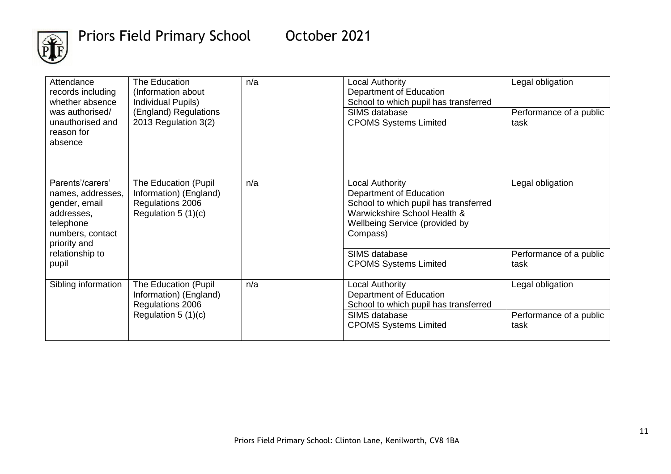

| Attendance<br>records including<br>whether absence<br>was authorised/                                                 | The Education<br>(Information about<br>Individual Pupils)<br>(England) Regulations          | n/a | Local Authority<br>Department of Education<br>School to which pupil has transferred<br>SIMS database                                                                     | Legal obligation<br>Performance of a public |
|-----------------------------------------------------------------------------------------------------------------------|---------------------------------------------------------------------------------------------|-----|--------------------------------------------------------------------------------------------------------------------------------------------------------------------------|---------------------------------------------|
| unauthorised and<br>reason for<br>absence                                                                             | 2013 Regulation 3(2)                                                                        |     | <b>CPOMS Systems Limited</b>                                                                                                                                             | task                                        |
| Parents'/carers'<br>names, addresses,<br>gender, email<br>addresses,<br>telephone<br>numbers, contact<br>priority and | The Education (Pupil)<br>Information) (England)<br>Regulations 2006<br>Regulation $5(1)(c)$ | n/a | Local Authority<br>Department of Education<br>School to which pupil has transferred<br>Warwickshire School Health &<br><b>Wellbeing Service (provided by</b><br>Compass) | Legal obligation                            |
| relationship to<br>pupil                                                                                              |                                                                                             |     | SIMS database<br><b>CPOMS Systems Limited</b>                                                                                                                            | Performance of a public<br>task             |
| Sibling information                                                                                                   | The Education (Pupil<br>Information) (England)<br>Regulations 2006                          | n/a | Local Authority<br>Department of Education<br>School to which pupil has transferred                                                                                      | Legal obligation                            |
|                                                                                                                       | Regulation $5(1)(c)$                                                                        |     | SIMS database<br><b>CPOMS Systems Limited</b>                                                                                                                            | Performance of a public<br>task             |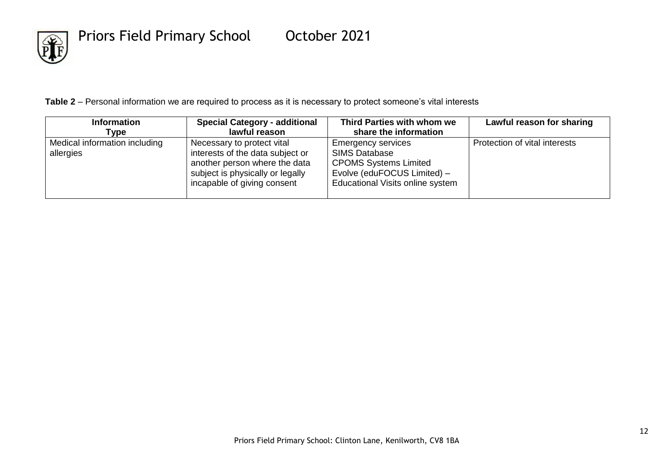

**Table 2** – Personal information we are required to process as it is necessary to protect someone's vital interests

| <b>Information</b>                         | <b>Special Category - additional</b>                                                                                                                               | Third Parties with whom we                                                                                                                           | Lawful reason for sharing     |
|--------------------------------------------|--------------------------------------------------------------------------------------------------------------------------------------------------------------------|------------------------------------------------------------------------------------------------------------------------------------------------------|-------------------------------|
| Type                                       | lawful reason                                                                                                                                                      | share the information                                                                                                                                |                               |
| Medical information including<br>allergies | Necessary to protect vital<br>interests of the data subject or<br>another person where the data<br>subject is physically or legally<br>incapable of giving consent | <b>Emergency services</b><br><b>SIMS Database</b><br><b>CPOMS Systems Limited</b><br>Evolve (eduFOCUS Limited) -<br>Educational Visits online system | Protection of vital interests |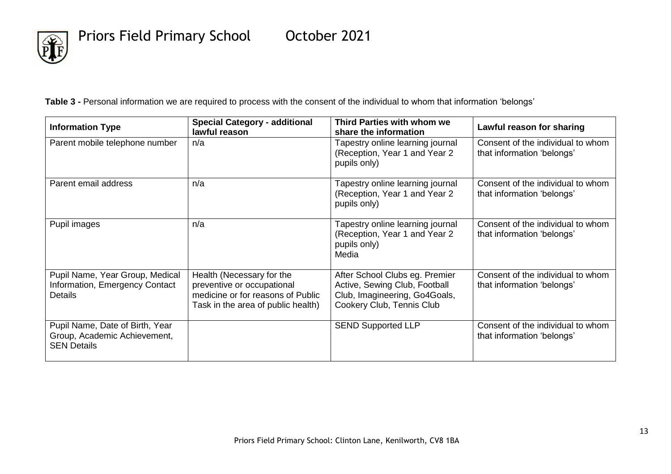

**Table 3 -** Personal information we are required to process with the consent of the individual to whom that information 'belongs'

| <b>Information Type</b>                                                               | <b>Special Category - additional</b><br>lawful reason                                                                              | Third Parties with whom we<br>share the information                                                                           | Lawful reason for sharing                                       |
|---------------------------------------------------------------------------------------|------------------------------------------------------------------------------------------------------------------------------------|-------------------------------------------------------------------------------------------------------------------------------|-----------------------------------------------------------------|
| Parent mobile telephone number                                                        | n/a                                                                                                                                | Tapestry online learning journal<br>(Reception, Year 1 and Year 2<br>pupils only)                                             | Consent of the individual to whom<br>that information 'belongs' |
| Parent email address                                                                  | n/a                                                                                                                                | Tapestry online learning journal<br>(Reception, Year 1 and Year 2<br>pupils only)                                             | Consent of the individual to whom<br>that information 'belongs' |
| Pupil images                                                                          | n/a                                                                                                                                | Tapestry online learning journal<br>(Reception, Year 1 and Year 2<br>pupils only)<br>Media                                    | Consent of the individual to whom<br>that information 'belongs' |
| Pupil Name, Year Group, Medical<br>Information, Emergency Contact<br><b>Details</b>   | Health (Necessary for the<br>preventive or occupational<br>medicine or for reasons of Public<br>Task in the area of public health) | After School Clubs eg. Premier<br>Active, Sewing Club, Football<br>Club, Imagineering, Go4Goals,<br>Cookery Club, Tennis Club | Consent of the individual to whom<br>that information 'belongs' |
| Pupil Name, Date of Birth, Year<br>Group, Academic Achievement,<br><b>SEN Details</b> |                                                                                                                                    | <b>SEND Supported LLP</b>                                                                                                     | Consent of the individual to whom<br>that information 'belongs' |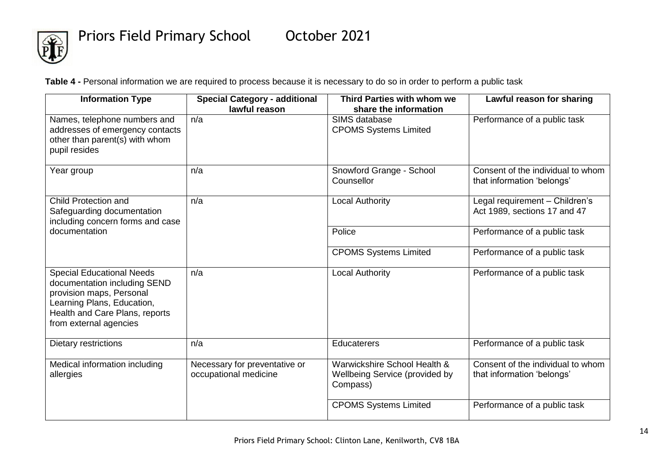

**Table 4 -** Personal information we are required to process because it is necessary to do so in order to perform a public task

| <b>Information Type</b>                                                                                                                                                                | <b>Special Category - additional</b><br>lawful reason  | Third Parties with whom we<br>share the information                        | Lawful reason for sharing                                       |
|----------------------------------------------------------------------------------------------------------------------------------------------------------------------------------------|--------------------------------------------------------|----------------------------------------------------------------------------|-----------------------------------------------------------------|
| Names, telephone numbers and<br>addresses of emergency contacts<br>other than parent(s) with whom<br>pupil resides                                                                     | n/a                                                    | SIMS database<br><b>CPOMS Systems Limited</b>                              | Performance of a public task                                    |
| Year group                                                                                                                                                                             | n/a                                                    | Snowford Grange - School<br>Counsellor                                     | Consent of the individual to whom<br>that information 'belongs' |
| Child Protection and<br>Safeguarding documentation<br>including concern forms and case                                                                                                 | n/a                                                    | <b>Local Authority</b>                                                     | Legal requirement - Children's<br>Act 1989, sections 17 and 47  |
| documentation                                                                                                                                                                          |                                                        | Police                                                                     | Performance of a public task                                    |
|                                                                                                                                                                                        |                                                        | <b>CPOMS Systems Limited</b>                                               | Performance of a public task                                    |
| <b>Special Educational Needs</b><br>documentation including SEND<br>provision maps, Personal<br>Learning Plans, Education,<br>Health and Care Plans, reports<br>from external agencies | n/a                                                    | <b>Local Authority</b>                                                     | Performance of a public task                                    |
| Dietary restrictions                                                                                                                                                                   | n/a                                                    | <b>Educaterers</b>                                                         | Performance of a public task                                    |
| Medical information including<br>allergies                                                                                                                                             | Necessary for preventative or<br>occupational medicine | Warwickshire School Health &<br>Wellbeing Service (provided by<br>Compass) | Consent of the individual to whom<br>that information 'belongs' |
|                                                                                                                                                                                        |                                                        | <b>CPOMS Systems Limited</b>                                               | Performance of a public task                                    |